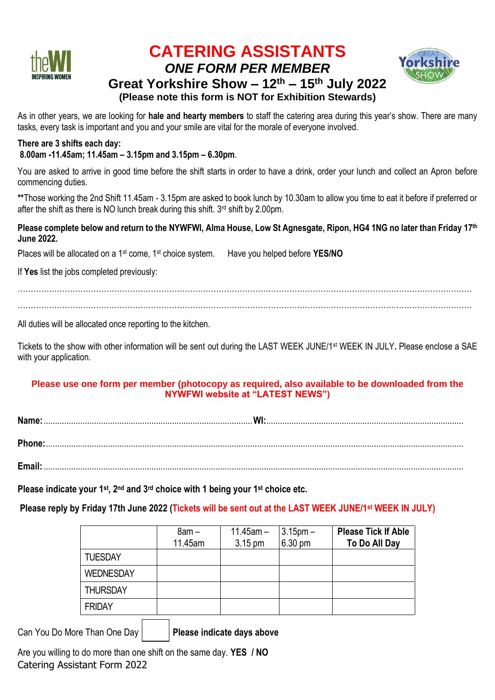

# **CATERING ASSISTANTS** *ONE FORM PER MEMBER*



## **Great Yorkshire Show – 12th – 15th July 2022 (Please note this form is NOT for Exhibition Stewards)**

As in other years, we are looking for **hale and hearty members** to staff the catering area during this year's show. There are many tasks, every task is important and you and your smile are vital for the morale of everyone involved.

# **There are 3 shifts each day:**

#### **8.00am -11.45am; 11.45am – 3.15pm and 3.15pm – 6.30pm**.

You are asked to arrive in good time before the shift starts in order to have a drink, order your lunch and collect an Apron before commencing duties.

**\*\***Those working the 2nd Shift 11.45am - 3.15pm are asked to book lunch by 10.30am to allow you time to eat it before if preferred or after the shift as there is NO lunch break during this shift. 3 rd shift by 2.00pm.

#### **Please complete below and return to the NYWFWI, Alma House, Low St Agnesgate, Ripon, HG4 1NG no later than Friday 17 th June 2022.**

Places will be allocated on a 1st come, 1st choice system. Have you helped before **YES/NO**

If **Yes** list the jobs completed previously:

…………………………………………………………………………………………………………………………………………………………

…………………………………………………………………………………………………………………………………………………………

All duties will be allocated once reporting to the kitchen.

Tickets to the show with other information will be sent out during the LAST WEEK JUNE/1st WEEK IN JULY**.** Please enclose a SAE with your application.

#### **Please use one form per member (photocopy as required, also available to be downloaded from the NYWFWI website at "LATEST NEWS")**

**Name:**...........................................................................................**WI:**...................................................................................... **Phone:**......................................................................................................................................................................................

**Email:**.......................................................................................................................................................................................

**Please indicate your 1st, 2nd and 3rd choice with 1 being your 1st choice etc.** 

**Please reply by Friday 17th June 2022 (Tickets will be sent out at the LAST WEEK JUNE/1st WEEK IN JULY)**

|                  | $8am -$ | $11.45$ am $-$ | $3.15pm -$        | <b>Please Tick If Able</b> |
|------------------|---------|----------------|-------------------|----------------------------|
|                  | 11.45am | 3.15 pm        | $6.30 \text{ pm}$ | To Do All Day              |
| <b>TUESDAY</b>   |         |                |                   |                            |
| <b>WEDNESDAY</b> |         |                |                   |                            |
| <b>THURSDAY</b>  |         |                |                   |                            |
| <b>FRIDAY</b>    |         |                |                   |                            |

Can You Do More Than One Day | Please indicate days above

Catering Assistant Form 2022 Are you willing to do more than one shift on the same day. **YES / NO**